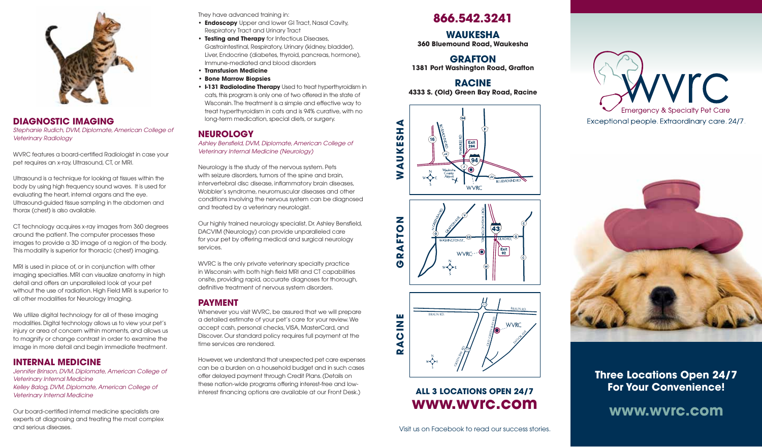

## **DIAGNOSTIC IMAGING** *Stephanie Rudich, DVM, Diplomate, American College of Veterinary Radiology*

WVRC features a board-certified Radiologist in case your pet requires an x-ray, Ultrasound, CT, or MRI.

Ultrasound is a technique for looking at tissues within the body by using high frequency sound waves. It is used for evaluating the heart, internal organs and the eye. Ultrasound-guided tissue sampling in the abdomen and thorax (chest) is also available.

CT technology acquires x-ray images from 360 degrees around the patient. The computer processes these images to provide a 3D image of a region of the body. This modality is superior for thoracic (chest) imaging.

MRI is used in place of, or in conjunction with other imaging specialties. MRI can visualize anatomy in high detail and offers an unparalleled look at your pet without the use of radiation. High Field MRI is superior to all other modalities for Neurology Imaging.

We utilize digital technology for all of these imaging modalities. Digital technology allows us to view your pet's injury or area of concern within moments, and allows us to magnify or change contrast in order to examine the image in more detail and begin immediate treatment.

# **INTERNAL MEDICINE**

*Jennifer Brinson, DVM, Diplomate, American College of Veterinary Internal Medicine Kelley Balog, DVM, Diplomate, American College of Veterinary Internal Medicine*

Our board-certified internal medicine specialists are experts at diagnosing and treating the most complex and serious diseases.

They have advanced training in:

- **Endoscopy** Upper and lower GI Tract, Nasal Cavity, Respiratory Tract and Urinary Tract
- **Testing and Therapy** for Infectious Diseases, Gastrointestinal, Respiratory, Urinary (kidney, bladder), Liver, Endocrine (diabetes, thyroid, pancreas, hormone), Immune-mediated and blood disorders
- **Transfusion Medicine**
- **• Bone Marrow Biopsies**
- **I-131 RadioIodine Therapy** Used to treat hyperthyroidism in cats, this program is only one of two offered in the state of Wisconsin. The treatment is a simple and effective way to treat hyperthyroidism in cats and is 94% curative, with no long-term medication, special diets, or surgery.

# **NEUROLOGY**

*Ashley Bensfield, DVM, Diplomate, American College of Veterinary Internal Medicine (Neurology)*

Neurology is the study of the nervous system. Pets with seizure disorders, tumors of the spine and brain, intervertebral disc disease, inflammatory brain diseases, Wobbler's syndrome, neuromuscular diseases and other conditions involving the nervous system can be diagnosed and treated by a veterinary neurologist.

Our highly trained neurology specialist, Dr. Ashley Bensfield, DACVIM (Neurology) can provide unparalleled care for your pet by offering medical and surgical neurology services.

WVRC is the only private veterinary specialty practice in Wisconsin with both high field MRI and CT capabilities onsite, providing rapid, accurate diagnoses for thorough, definitive treatment of nervous system disorders.

# **PAYMENT**

Whenever you visit WVRC, be assured that we will prepare a detailed estimate of your pet's care for your review. We accept cash, personal checks, VISA, MasterCard, and Discover. Our standard policy requires full payment at the time services are rendered.

However, we understand that unexpected pet care expenses can be a burden on a household budget and in such cases offer delayed payment through Credit Plans. (Details on these nation-wide programs offering interest-free and lowinterest financing options are available at our Front Desk.)

# **866.542.3241**

# **WAUKESHA**

**360 Bluemound Road, Waukesha**

### **GRAFTON 1381 Port Washington Road, Grafton**

**racine 4333 S. (Old) Green Bay Road, Racine**







# **ALL 3 LOCATIONS OPEN 24/7 www.wvrc.com**





# **Three Locations Open 24/7 For Your Convenience!**

**www.wvrc.com**